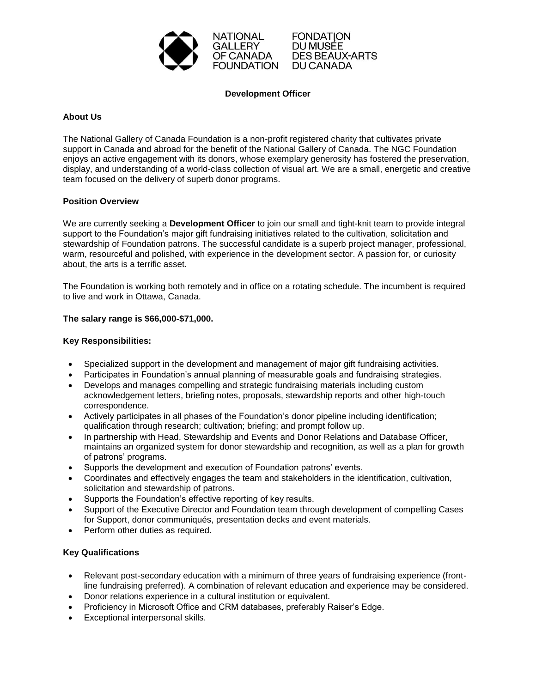

**FONDATION** DU MUSÉE **DES BEAUX-ARTS** DU CANADA

# **Development Officer**

# **About Us**

The National Gallery of Canada Foundation is a non-profit registered charity that cultivates private support in Canada and abroad for the benefit of the National Gallery of Canada. The NGC Foundation enjoys an active engagement with its donors, whose exemplary generosity has fostered the preservation, display, and understanding of a world-class collection of visual art. We are a small, energetic and creative team focused on the delivery of superb donor programs.

# **Position Overview**

We are currently seeking a **Development Officer** to join our small and tight-knit team to provide integral support to the Foundation's major gift fundraising initiatives related to the cultivation, solicitation and stewardship of Foundation patrons. The successful candidate is a superb project manager, professional, warm, resourceful and polished, with experience in the development sector. A passion for, or curiosity about, the arts is a terrific asset.

The Foundation is working both remotely and in office on a rotating schedule. The incumbent is required to live and work in Ottawa, Canada.

### **The salary range is \$66,000-\$71,000.**

# **Key Responsibilities:**

- Specialized support in the development and management of major gift fundraising activities.
- Participates in Foundation's annual planning of measurable goals and fundraising strategies.
- Develops and manages compelling and strategic fundraising materials including custom acknowledgement letters, briefing notes, proposals, stewardship reports and other high-touch correspondence.
- Actively participates in all phases of the Foundation's donor pipeline including identification; qualification through research; cultivation; briefing; and prompt follow up.
- In partnership with Head, Stewardship and Events and Donor Relations and Database Officer, maintains an organized system for donor stewardship and recognition, as well as a plan for growth of patrons' programs.
- Supports the development and execution of Foundation patrons' events.
- Coordinates and effectively engages the team and stakeholders in the identification, cultivation, solicitation and stewardship of patrons.
- Supports the Foundation's effective reporting of key results.
- Support of the Executive Director and Foundation team through development of compelling Cases for Support, donor communiqués, presentation decks and event materials.
- Perform other duties as required.

### **Key Qualifications**

- Relevant post-secondary education with a minimum of three years of fundraising experience (frontline fundraising preferred). A combination of relevant education and experience may be considered.
- Donor relations experience in a cultural institution or equivalent.
- Proficiency in Microsoft Office and CRM databases, preferably Raiser's Edge.
- Exceptional interpersonal skills.